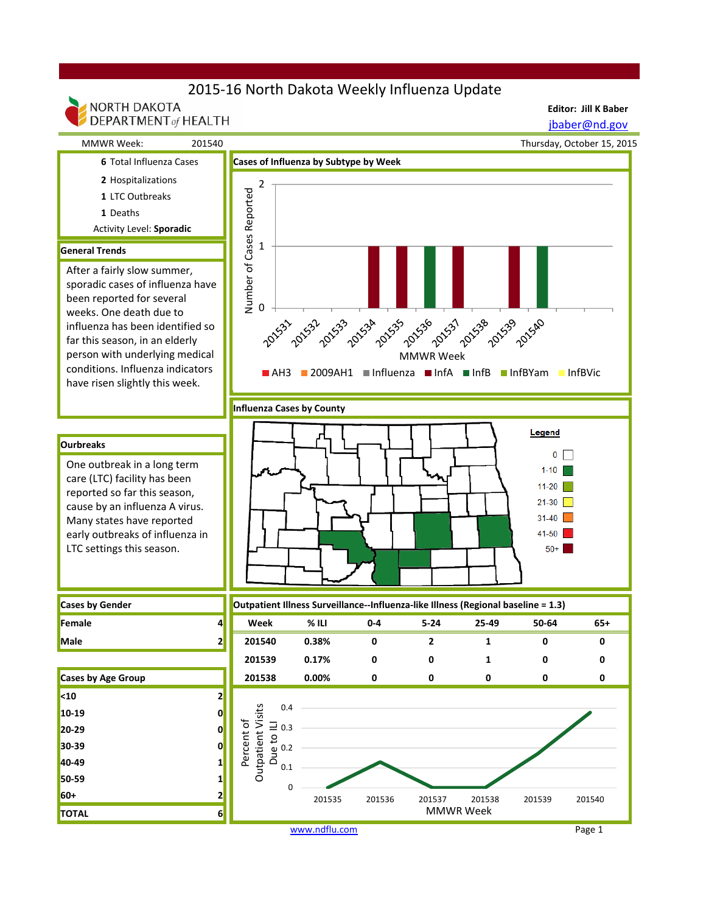## 2015-16 North Dakota Weekly Influenza Update